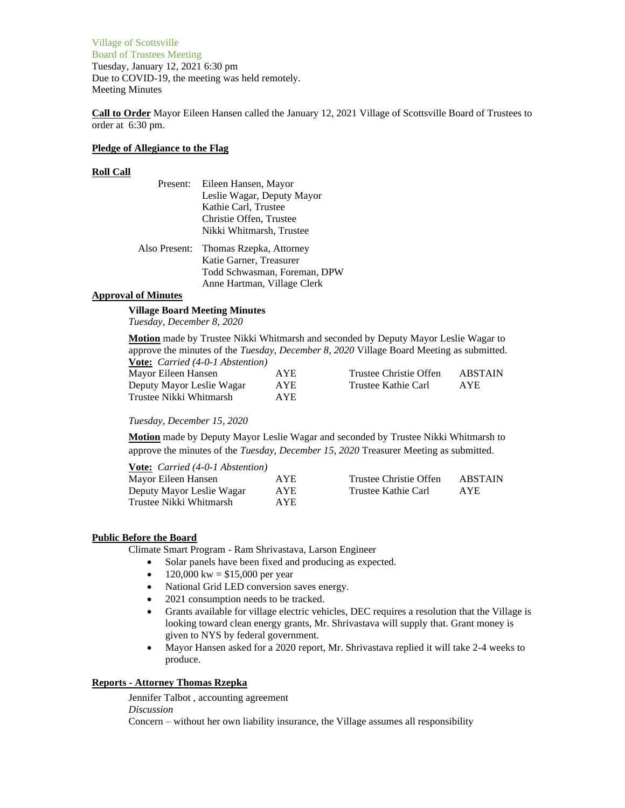Village of Scottsville Board of Trustees Meeting Tuesday, January 12, 2021 6:30 pm Due to COVID-19, the meeting was held remotely. Meeting Minutes

**Call to Order** Mayor Eileen Hansen called the January 12, 2021 Village of Scottsville Board of Trustees to order at 6:30 pm.

## **Pledge of Allegiance to the Flag**

### **Roll Call**

| Present: | Eileen Hansen, Mayor       |
|----------|----------------------------|
|          | Leslie Wagar, Deputy Mayor |
|          | Kathie Carl, Trustee       |
|          | Christie Offen, Trustee    |
|          | Nikki Whitmarsh, Trustee   |
|          |                            |

| Also Present: | Thomas Rzepka, Attorney      |
|---------------|------------------------------|
|               | Katie Garner, Treasurer      |
|               | Todd Schwasman, Foreman, DPW |
|               | Anne Hartman, Village Clerk  |
|               |                              |

# **Approval of Minutes**

# **Village Board Meeting Minutes**

*Tuesday, December 8, 2020*

**Motion** made by Trustee Nikki Whitmarsh and seconded by Deputy Mayor Leslie Wagar to approve the minutes of the *Tuesday, December 8, 2020* Village Board Meeting as submitted. **Vote:** *Carried (4-0-1 Abstention)*

| Mayor Eileen Hansen       | <b>AYE</b> | Trustee Christie Offen | ABSTAIN |
|---------------------------|------------|------------------------|---------|
| Deputy Mayor Leslie Wagar | AYE.       | Trustee Kathie Carl    | AYE.    |
| Trustee Nikki Whitmarsh   | AYE.       |                        |         |

*Tuesday, December 15, 2020*

**Motion** made by Deputy Mayor Leslie Wagar and seconded by Trustee Nikki Whitmarsh to approve the minutes of the *Tuesday, December 15, 2020* Treasurer Meeting as submitted.

**Vote:** *Carried (4-0-1 Abstention)*

| <b>AYE</b> | Trustee Christie Offen | ABSTAIN |
|------------|------------------------|---------|
| AYE        | Trustee Kathie Carl    | AYE.    |
| AYE.       |                        |         |
|            |                        |         |

## **Public Before the Board**

Climate Smart Program - Ram Shrivastava, Larson Engineer

- Solar panels have been fixed and producing as expected.
- $120,000 \text{ kw} = $15,000 \text{ per year}$
- National Grid LED conversion saves energy.
- 2021 consumption needs to be tracked.
- Grants available for village electric vehicles, DEC requires a resolution that the Village is looking toward clean energy grants, Mr. Shrivastava will supply that. Grant money is given to NYS by federal government.
- Mayor Hansen asked for a 2020 report, Mr. Shrivastava replied it will take 2-4 weeks to produce.

### **Reports - Attorney Thomas Rzepka**

Jennifer Talbot , accounting agreement *Discussion* Concern – without her own liability insurance, the Village assumes all responsibility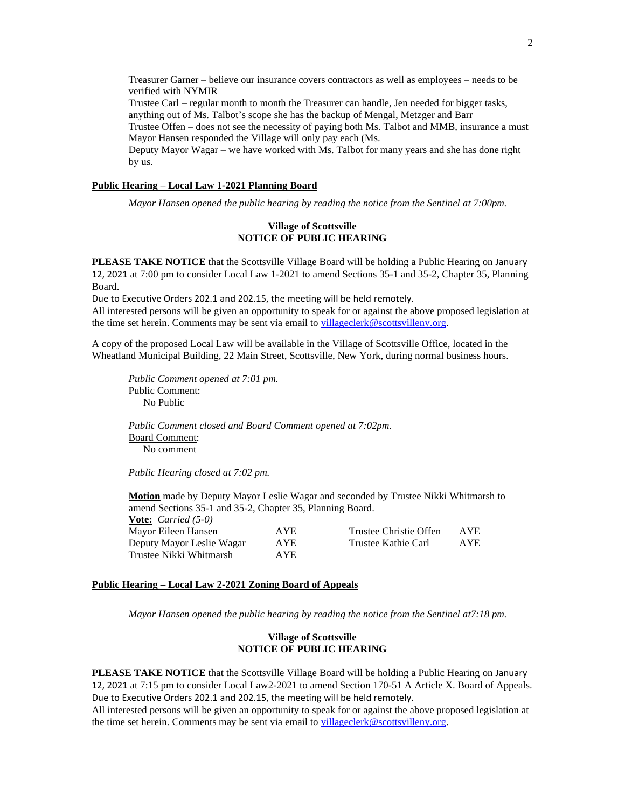Treasurer Garner – believe our insurance covers contractors as well as employees – needs to be verified with NYMIR

Trustee Carl – regular month to month the Treasurer can handle, Jen needed for bigger tasks, anything out of Ms. Talbot's scope she has the backup of Mengal, Metzger and Barr

Trustee Offen – does not see the necessity of paying both Ms. Talbot and MMB, insurance a must Mayor Hansen responded the Village will only pay each (Ms.

Deputy Mayor Wagar – we have worked with Ms. Talbot for many years and she has done right by us.

# **Public Hearing – Local Law 1-2021 Planning Board**

*Mayor Hansen opened the public hearing by reading the notice from the Sentinel at 7:00pm.*

## **Village of Scottsville NOTICE OF PUBLIC HEARING**

**PLEASE TAKE NOTICE** that the Scottsville Village Board will be holding a Public Hearing on January 12, 2021 at 7:00 pm to consider Local Law 1-2021 to amend Sections 35-1 and 35-2, Chapter 35, Planning Board.

Due to Executive Orders 202.1 and 202.15, the meeting will be held remotely.

All interested persons will be given an opportunity to speak for or against the above proposed legislation at the time set herein. Comments may be sent via email to [villageclerk@scottsvilleny.org.](mailto:villageclerk@scottsvilleny.org)

A copy of the proposed Local Law will be available in the Village of Scottsville Office, located in the Wheatland Municipal Building, 22 Main Street, Scottsville, New York, during normal business hours.

*Public Comment opened at 7:01 pm.* Public Comment: No Public

*Public Comment closed and Board Comment opened at 7:02pm.* Board Comment: No comment

*Public Hearing closed at 7:02 pm.*

**Motion** made by Deputy Mayor Leslie Wagar and seconded by Trustee Nikki Whitmarsh to amend Sections 35-1 and 35-2, Chapter 35, Planning Board. **Vote:** *Carried (5-0)* Mayor Eileen Hansen AYE Trustee Christie Offen AYE Deputy Mayor Leslie Wagar AYE Trustee Kathie Carl AYE Trustee Nikki Whitmarsh AYE

#### **Public Hearing – Local Law 2-2021 Zoning Board of Appeals**

*Mayor Hansen opened the public hearing by reading the notice from the Sentinel at7:18 pm.*

## **Village of Scottsville NOTICE OF PUBLIC HEARING**

**PLEASE TAKE NOTICE** that the Scottsville Village Board will be holding a Public Hearing on January 12, 2021 at 7:15 pm to consider Local Law2-2021 to amend Section 170-51 A Article X. Board of Appeals. Due to Executive Orders 202.1 and 202.15, the meeting will be held remotely.

All interested persons will be given an opportunity to speak for or against the above proposed legislation at the time set herein. Comments may be sent via email to [villageclerk@scottsvilleny.org.](mailto:villageclerk@scottsvilleny.org)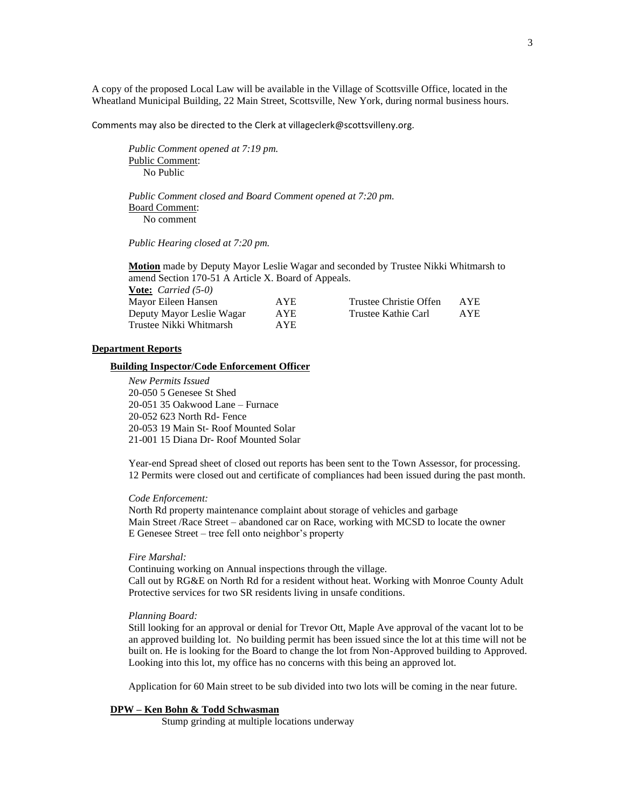A copy of the proposed Local Law will be available in the Village of Scottsville Office, located in the Wheatland Municipal Building, 22 Main Street, Scottsville, New York, during normal business hours.

Comments may also be directed to the Clerk at villageclerk@scottsvilleny.org.

*Public Comment opened at 7:19 pm.* Public Comment: No Public

*Public Comment closed and Board Comment opened at 7:20 pm.* Board Comment: No comment

*Public Hearing closed at 7:20 pm.*

**Motion** made by Deputy Mayor Leslie Wagar and seconded by Trustee Nikki Whitmarsh to amend Section 170-51 A Article X. Board of Appeals. **Vote:** *Carried (5-0)*

| $\frac{1}{2}$ $\frac{1}{2}$ $\frac{1}{2}$ $\frac{1}{2}$ $\frac{1}{2}$ $\frac{1}{2}$ $\frac{1}{2}$ $\frac{1}{2}$ |            |                        |      |
|-----------------------------------------------------------------------------------------------------------------|------------|------------------------|------|
| Mayor Eileen Hansen                                                                                             | AYE.       | Trustee Christie Offen | AYE. |
| Deputy Mayor Leslie Wagar                                                                                       | <b>AYE</b> | Trustee Kathie Carl    | AYE. |
| Trustee Nikki Whitmarsh                                                                                         | AYE.       |                        |      |

### **Department Reports**

### **Building Inspector/Code Enforcement Officer**

*New Permits Issued*  20-050 5 Genesee St Shed 20-051 35 Oakwood Lane – Furnace 20-052 623 North Rd- Fence 20-053 19 Main St- Roof Mounted Solar 21-001 15 Diana Dr- Roof Mounted Solar

Year-end Spread sheet of closed out reports has been sent to the Town Assessor, for processing. 12 Permits were closed out and certificate of compliances had been issued during the past month.

### *Code Enforcement:*

North Rd property maintenance complaint about storage of vehicles and garbage Main Street /Race Street – abandoned car on Race, working with MCSD to locate the owner E Genesee Street – tree fell onto neighbor's property

#### *Fire Marshal:*

Continuing working on Annual inspections through the village. Call out by RG&E on North Rd for a resident without heat. Working with Monroe County Adult Protective services for two SR residents living in unsafe conditions.

### *Planning Board:*

Still looking for an approval or denial for Trevor Ott, Maple Ave approval of the vacant lot to be an approved building lot. No building permit has been issued since the lot at this time will not be built on. He is looking for the Board to change the lot from Non-Approved building to Approved. Looking into this lot, my office has no concerns with this being an approved lot.

Application for 60 Main street to be sub divided into two lots will be coming in the near future.

#### **DPW – Ken Bohn & Todd Schwasman**

Stump grinding at multiple locations underway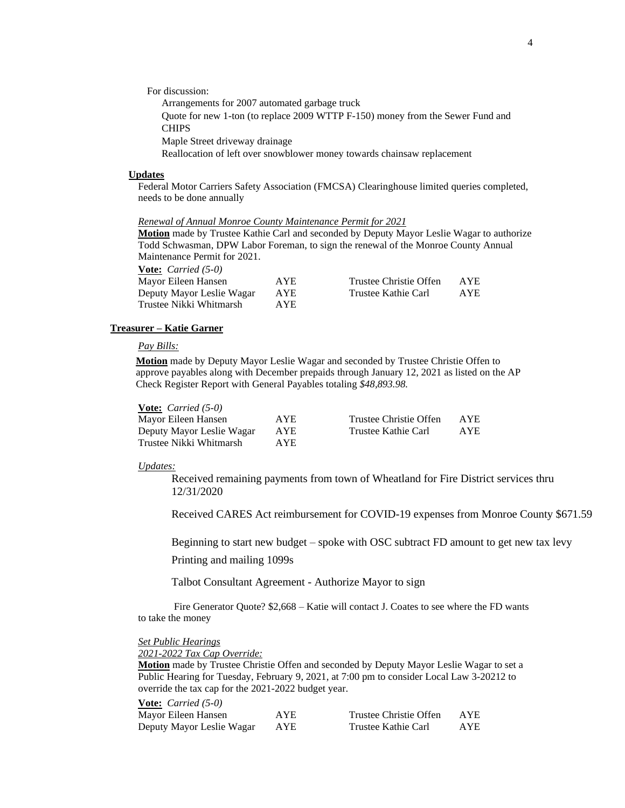For discussion:

Arrangements for 2007 automated garbage truck Quote for new 1-ton (to replace 2009 WTTP F-150) money from the Sewer Fund and CHIPS Maple Street driveway drainage

Reallocation of left over snowblower money towards chainsaw replacement

### **Updates**

Federal Motor Carriers Safety Association (FMCSA) Clearinghouse limited queries completed, needs to be done annually

*Renewal of Annual Monroe County Maintenance Permit for 2021*

**Motion** made by Trustee Kathie Carl and seconded by Deputy Mayor Leslie Wagar to authorize Todd Schwasman, DPW Labor Foreman, to sign the renewal of the Monroe County Annual Maintenance Permit for 2021.

**Vote:** *Carried (5-0)*

| Mayor Eileen Hansen       | AYE.       | Trustee Christie Offen | AYE. |
|---------------------------|------------|------------------------|------|
| Deputy Mayor Leslie Wagar | <b>AYE</b> | Trustee Kathie Carl    | AYE. |
| Trustee Nikki Whitmarsh   | AYE.       |                        |      |

## **Treasurer – Katie Garner**

### *Pay Bills:*

**Motion** made by Deputy Mayor Leslie Wagar and seconded by Trustee Christie Offen to approve payables along with December prepaids through January 12, 2021 as listed on the AP Check Register Report with General Payables totaling *\$48,893.98.*

#### **Vote:** *Carried (5-0)*

| Mayor Eileen Hansen       | <b>AYE</b> | Trustee Christie Offen | <b>AYE</b> |
|---------------------------|------------|------------------------|------------|
| Deputy Mayor Leslie Wagar | <b>AYE</b> | Trustee Kathie Carl    | <b>AYE</b> |
| Trustee Nikki Whitmarsh   | AYE.       |                        |            |

#### *Updates:*

Received remaining payments from town of Wheatland for Fire District services thru 12/31/2020

Received CARES Act reimbursement for COVID-19 expenses from Monroe County \$671.59

Beginning to start new budget – spoke with OSC subtract FD amount to get new tax levy

Printing and mailing 1099s

Talbot Consultant Agreement - Authorize Mayor to sign

 Fire Generator Quote? \$2,668 – Katie will contact J. Coates to see where the FD wants to take the money

# *Set Public Hearings*

*2021-2022 Tax Cap Override:*

**Motion** made by Trustee Christie Offen and seconded by Deputy Mayor Leslie Wagar to set a Public Hearing for Tuesday, February 9, 2021, at 7:00 pm to consider Local Law 3-20212 to override the tax cap for the 2021-2022 budget year.

**Vote:** *Carried (5-0)*

| Mayor Eileen Hansen       | <b>AYE</b> | Trustee Christie Offen | <b>AYE</b> |
|---------------------------|------------|------------------------|------------|
| Deputy Mayor Leslie Wagar | <b>AYE</b> | Trustee Kathie Carl    | <b>AYE</b> |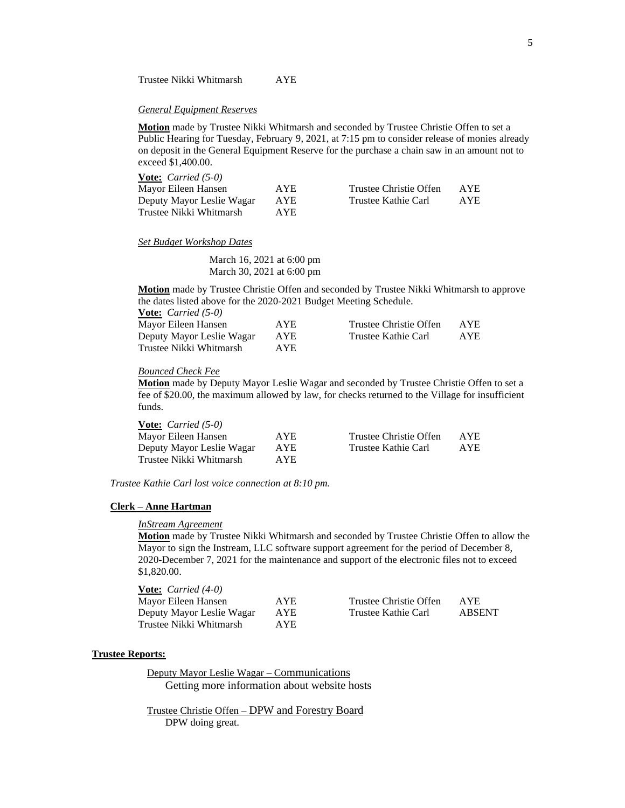Trustee Nikki Whitmarsh AYE

### *General Equipment Reserves*

**Motion** made by Trustee Nikki Whitmarsh and seconded by Trustee Christie Offen to set a Public Hearing for Tuesday, February 9, 2021, at 7:15 pm to consider release of monies already on deposit in the General Equipment Reserve for the purchase a chain saw in an amount not to exceed \$1,400.00.

| <b>Vote:</b> <i>Carried</i> $(5-0)$ |            |                        |      |
|-------------------------------------|------------|------------------------|------|
| Mayor Eileen Hansen                 | <b>AYE</b> | Trustee Christie Offen | AYE. |
| Deputy Mayor Leslie Wagar           | AYE        | Trustee Kathie Carl    | AYE. |
| Trustee Nikki Whitmarsh             | AYE.       |                        |      |

*Set Budget Workshop Dates*

March 16, 2021 at 6:00 pm March 30, 2021 at 6:00 pm

**Motion** made by Trustee Christie Offen and seconded by Trustee Nikki Whitmarsh to approve the dates listed above for the 2020-2021 Budget Meeting Schedule.

| <b>Vote:</b> <i>Carried</i> $(5-0)$ |      |                        |            |
|-------------------------------------|------|------------------------|------------|
| Mayor Eileen Hansen                 | AYE. | Trustee Christie Offen | <b>AYE</b> |
| Deputy Mayor Leslie Wagar           | AYE. | Trustee Kathie Carl    | <b>AYE</b> |
| Trustee Nikki Whitmarsh             | AYE. |                        |            |

## *Bounced Check Fee*

**Motion** made by Deputy Mayor Leslie Wagar and seconded by Trustee Christie Offen to set a fee of \$20.00, the maximum allowed by law, for checks returned to the Village for insufficient funds.

| <b>Vote:</b> <i>Carried</i> $(5-0)$ |            |                        |      |
|-------------------------------------|------------|------------------------|------|
| Mayor Eileen Hansen                 | AYE.       | Trustee Christie Offen | AYE. |
| Deputy Mayor Leslie Wagar           | <b>AYE</b> | Trustee Kathie Carl    | AYE. |
| Trustee Nikki Whitmarsh             | AYE.       |                        |      |

*Trustee Kathie Carl lost voice connection at 8:10 pm.*

## **Clerk – Anne Hartman**

#### *InStream Agreement*

**Motion** made by Trustee Nikki Whitmarsh and seconded by Trustee Christie Offen to allow the Mayor to sign the Instream, LLC software support agreement for the period of December 8, 2020-December 7, 2021 for the maintenance and support of the electronic files not to exceed \$1,820.00.

| <b>Vote:</b> <i>Carried</i> $(4-0)$ |            |                        |        |
|-------------------------------------|------------|------------------------|--------|
| Mayor Eileen Hansen                 | AYE.       | Trustee Christie Offen | AYE.   |
| Deputy Mayor Leslie Wagar           | <b>AYE</b> | Trustee Kathie Carl    | ABSENT |
| Trustee Nikki Whitmarsh             | AYE.       |                        |        |

### **Trustee Reports:**

Deputy Mayor Leslie Wagar – Communications Getting more information about website hosts

Trustee Christie Offen – DPW and Forestry Board DPW doing great.